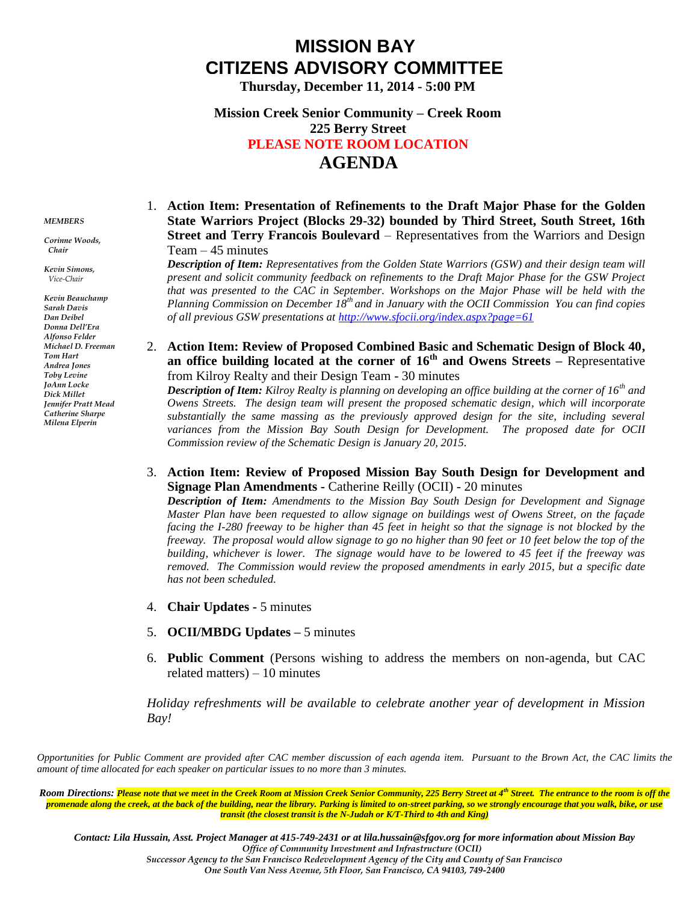# **MISSION BAY CITIZENS ADVISORY COMMITTEE**

**Thursday, December 11, 2014 - 5:00 PM**

# **Mission Creek Senior Community – Creek Room 225 Berry Street PLEASE NOTE ROOM LOCATION AGENDA**

#### *MEMBERS*

*Corinne Woods, Chair*

*Kevin Simons, Vice-Chair*

*Kevin Beauchamp Sarah Davis Dan Deibel Donna Dell'Era Alfonso Felder Michael D. Freeman Tom Hart Andrea Jones Toby Levine JoAnn Locke Dick Millet Jennifer Pratt Mead Catherine Sharpe Milena Elperin*

## 1. **Action Item: Presentation of Refinements to the Draft Major Phase for the Golden State Warriors Project (Blocks 29-32) bounded by Third Street, South Street, 16th Street and Terry Francois Boulevard** – Representatives from the Warriors and Design Team  $-45$  minutes

*Description of Item: Representatives from the Golden State Warriors (GSW) and their design team will present and solicit community feedback on refinements to the Draft Major Phase for the GSW Project that was presented to the CAC in September. Workshops on the Major Phase will be held with the Planning Commission on December 18th and in January with the OCII Commission You can find copies of all previous GSW presentations at<http://www.sfocii.org/index.aspx?page=61>*

### 2. **Action Item: Review of Proposed Combined Basic and Schematic Design of Block 40, an office building located at the corner of 16th and Owens Streets –** Representative from Kilroy Realty and their Design Team - 30 minutes

*Description of Item: Kilroy Realty is planning on developing an office building at the corner of 16th and Owens Streets. The design team will present the proposed schematic design, which will incorporate*  substantially the same massing as the previously approved design for the site, including several *variances from the Mission Bay South Design for Development. The proposed date for OCII Commission review of the Schematic Design is January 20, 2015.*

3. **Action Item: Review of Proposed Mission Bay South Design for Development and Signage Plan Amendments -** Catherine Reilly (OCII) - 20 minutes

*Description of Item: Amendments to the Mission Bay South Design for Development and Signage Master Plan have been requested to allow signage on buildings west of Owens Street, on the façade facing the I-280 freeway to be higher than 45 feet in height so that the signage is not blocked by the freeway. The proposal would allow signage to go no higher than 90 feet or 10 feet below the top of the building, whichever is lower. The signage would have to be lowered to 45 feet if the freeway was removed. The Commission would review the proposed amendments in early 2015, but a specific date has not been scheduled.*

- 4. **Chair Updates -** 5 minutes
- 5. **OCII/MBDG Updates –** 5 minutes
- 6. **Public Comment** (Persons wishing to address the members on non-agenda, but CAC related matters) – 10 minutes

*Holiday refreshments will be available to celebrate another year of development in Mission Bay!*

*Opportunities for Public Comment are provided after CAC member discussion of each agenda item. Pursuant to the Brown Act, the CAC limits the amount of time allocated for each speaker on particular issues to no more than 3 minutes.*

*Room Directions: Please note that we meet in the Creek Room at Mission Creek Senior Community, 225 Berry Street at 4th Street. The entrance to the room is off the promenade along the creek, at the back of the building, near the library. Parking is limited to on-street parking, so we strongly encourage that you walk, bike, or use transit (the closest transit is the N-Judah or K/T-Third to 4th and King)*

*Contact: Lila Hussain, Asst. Project Manager at 415-749-2431 or at lila.hussain@sfgov.org for more information about Mission Bay Office of Community Investment and Infrastructure (OCII) Successor Agency to the San Francisco Redevelopment Agency of the City and County of San Francisco One South Van Ness Avenue, 5th Floor, San Francisco, CA 94103, 749-2400*